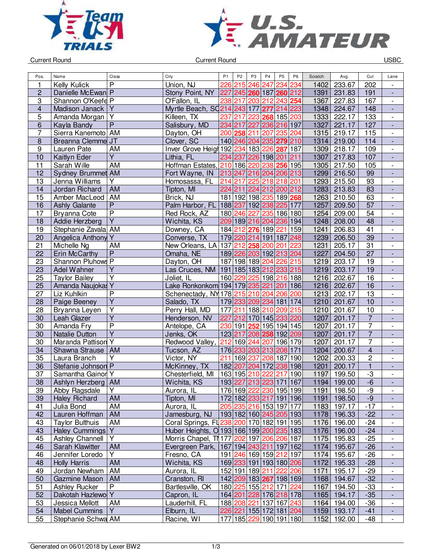



Current Round USBC

| Pos.                    | Name                      | Class                   | City                                      | P <sub>1</sub> | P <sub>2</sub> | P <sub>3</sub> | P <sub>4</sub>          | P <sub>5</sub> | P <sub>6</sub> | Scratch | Avg.          | Cut                     | Lane                     |
|-------------------------|---------------------------|-------------------------|-------------------------------------------|----------------|----------------|----------------|-------------------------|----------------|----------------|---------|---------------|-------------------------|--------------------------|
| 1                       | Kelly Kulick              | P                       | Union, NJ                                 | 226            | 215            | 246            | 247                     | 234            | 234            | 1402    | 233.67        | 202                     |                          |
| $\overline{\mathbf{c}}$ | Danielle McEwan P         |                         | Stony Point, NY                           | 227            |                |                | 245 260 187 260 212     |                |                | 1391    | 231.83        | 191                     | $\overline{\phantom{a}}$ |
| 3                       | Shannon O'Keefe P         |                         | O'Fallon, IL                              | 238            | 217            | 203            |                         | 212 243 254    |                | 1367    | 227.83        | 167                     | $\overline{\phantom{a}}$ |
| $\overline{\mathbf{4}}$ | Madison Janack   Y        |                         | Myrtle Beach, SQ214 243 177               |                |                |                | 277                     | 214 223        |                | 1348    | 224.67        | 148                     | $\overline{a}$           |
| 5                       | Amanda Morgan             | $\overline{Y}$          | Killeen, TX                               | 237            | 217            | 223            |                         | 268 185 203    |                | 1333    | 222.17        | 133                     | $\blacksquare$           |
| 6                       | Kayla Bandy               | $\overline{P}$          | Salisbury, MD                             |                | 234 217 227    |                |                         | 236 216 197    |                | 1327    | 221.17        | 127                     | $\overline{\phantom{a}}$ |
| 7                       | Sierra Kanemoto AM        |                         | Dayton, OH                                |                | 200 258 211    |                | 207                     | 235 204        |                | 1315    | 219.17        | 115                     | $\blacksquare$           |
| $\bf 8$                 | Breanna Clemme JT         |                         | Clover, SC                                |                |                |                | 140 246 204 235 279 210 |                |                | 1314    | 219.00        | 114                     | $\overline{\phantom{a}}$ |
| $\boldsymbol{9}$        | Lauren Pate               | <b>AM</b>               | Inver Grove Heigh 192 234 183 226 287 187 |                |                |                |                         |                |                | 1309    | 218.17        | 109                     | $\overline{\phantom{a}}$ |
| $\overline{10}$         | Kaitlyn Eder              | $\overline{Y}$          | Lithia, FL                                |                | 234 237        |                | 226 198 201 211         |                |                | 1307    | 217.83        | 107                     |                          |
| 11                      | Sarah Wille               | AM                      | Hoffman Estates, 210 186 220              |                |                |                | 238 256 195             |                |                | 1305    | 217.50        | 105                     | $\overline{\phantom{a}}$ |
| 12                      | Sydney Brummet AM         |                         | Fort Wayne, IN                            |                |                |                | 213 247 216 204 206 213 |                |                | 1299    | 216.50        | 99                      |                          |
| 13                      | Jenna Williams            | Y                       | Homosassa, FL                             | 214 217        |                | 225            | 218                     | 218 201        |                | 1293    | 215.50        | 93                      | $\overline{\phantom{a}}$ |
| 14                      | Jordan Richard            | <b>AM</b>               | Tipton, MI                                |                | 224 211        |                | 224 212 200 212         |                |                | 1283    | 213.83        | 83                      | $\overline{\phantom{a}}$ |
| $\overline{15}$         | Amber MacLeod             | AM                      | Brick, NJ                                 |                |                |                | 181 192 198 235 189 268 |                |                | 1263    | 210.50        | 63                      | $\blacksquare$           |
|                         |                           | P                       |                                           |                |                |                | 188 237 192 238 225 177 |                |                |         |               | 57                      |                          |
| 16<br>17                | <b>Ashly Galante</b>      | $\overline{P}$          | Palm Harbor, FL                           |                |                |                |                         |                |                | 1257    | 209.50        |                         | $\blacksquare$           |
|                         | Bryanna Cote              | $\overline{Y}$          | Red Rock, AZ                              |                | 180 246 227    |                |                         | 235 186 180    |                | 1254    | 209.00        | 54                      | $\overline{\phantom{a}}$ |
| 18                      | Addie Herzberg            |                         | Wichita, KS                               |                |                |                | 209 189 216 204 236 194 |                |                | 1248    | 208.00        | 48                      | $\overline{\phantom{a}}$ |
| 19                      | Stephanie Zavala AM       |                         | Downey, CA                                |                |                |                | 184 212 276 189         | 221            | 159            | 1241    | 206.83        | 41                      |                          |
| 20                      | <b>Angelica Anthony Y</b> |                         | Converse, TX                              |                |                |                | 179 220 214 191 187 248 |                |                | 1239    | 206.50        | 39                      |                          |
| 21                      | Michelle Ng               | AM                      | New Orleans, LA 137                       |                | 212            | 258            | 200                     | 201            | 223            | 1231    | 205.17        | $\overline{31}$         | $\overline{\phantom{a}}$ |
| 22                      | Erin McCarthy             | $\overline{P}$          | Omaha, NE                                 |                |                |                | 189 226 203 192 213 204 |                |                | 1227    | 204.50        | 27                      |                          |
| 23                      | Shannon Pluhows P         |                         | Dayton, OH                                |                |                |                | 187 198 189 204         | 226 215        |                | 1219    | 203.17        | 19                      | $\overline{\phantom{a}}$ |
| 23                      | <b>Adel Wahner</b>        | Y                       | Las Cruces, NM                            |                |                |                | 191 185 183 212 233 215 |                |                | 1219    | 203.17        | 19                      |                          |
| 25                      | <b>Taylor Bailey</b>      | $\overline{\mathsf{Y}}$ | Joliet, IL                                |                |                |                | 160 229 225 198 216 188 |                |                | 1216    | 202.67        | 16                      | $\overline{\phantom{a}}$ |
| 25                      | Amanda Naujokas Y         |                         | Lake Ronkonkom 194 179 235 221 201 186    |                |                |                |                         |                |                | 1216    | 202.67        | $\overline{16}$         | ÷,                       |
| 27                      | Liz Kuhlkin               | $\overline{P}$          | Schenectady, NY 178 215 210 204 206 200   |                |                |                |                         |                |                | 1213    | 202.17        | 13                      | $\overline{\phantom{a}}$ |
| 28                      | Paige Beeney              | $\overline{\mathsf{Y}}$ | Salado, TX                                |                |                |                | 179 233 209 234         | 181 174        |                | 1210    | 201.67        | 10                      | $\overline{\phantom{a}}$ |
| 28                      | Bryanna Leyen             | Υ                       | Perry Hall, MD                            | 177            |                |                | 211 188 210             | 209 215        |                | 1210    | 201.67        | 10                      | $\overline{a}$           |
| 30                      | Leah Glazer               | $\overline{Y}$          | Henderson, NV                             | 227            |                |                | 212 170 145 233 220     |                |                | 1207    | 201.17        | $\overline{7}$          |                          |
| 30                      | Amanda Fry                | $\overline{\mathsf{P}}$ | Antelope, CA                              |                | 230 191        | 252            |                         | 195 194 145    |                | 1207    | 201.17        | $\overline{7}$          | $\overline{\phantom{a}}$ |
| 30                      | <b>Natalie Dutton</b>     | $\overline{Y}$          | Jenks, OK                                 |                | 123 217        |                | 208 258 192 209         |                |                | 1207    | 201.17        | $\overline{7}$          |                          |
| 30                      | Maranda Pattison Y        |                         | Redwood Valley,                           |                | 212 169 244    |                | 207                     | 196 179        |                | 1207    | 201.17        | $\overline{7}$          | $\overline{\phantom{a}}$ |
| 34                      | Shawna Strause            | <b>AM</b>               | Tucson, AZ                                |                |                |                | 176 233 203 213 208 171 |                |                | 1204    | 200.67        | $\overline{\mathbf{4}}$ | $\overline{\phantom{a}}$ |
| 35                      | Laura Branch              | Y                       | Victor, NY                                | 211            | 169 237        |                | 208                     | 187 190        |                | 1202    | 200.33        | $\overline{2}$          | $\frac{1}{2}$            |
| 36                      | Stefanie Johnson P        |                         | McKinney, TX                              |                | 182 207        |                | 204 172                 | 238 198        |                | 1201    | 200.17        | $\mathbf{1}$            | $\overline{\phantom{a}}$ |
| 37                      | Samantha Gainor Y         |                         | Chesterfield, MI                          |                | 163 195 210    |                | 222                     | 217            | 190            | 1197    | 199.50        | $-3$                    | $\overline{\phantom{a}}$ |
| 38                      | Ashlyn Herzberg   AM      |                         | Wichita, KS                               |                |                |                | 193227213223171167      |                |                | 1194    | 199.00        | $-6$                    |                          |
| 39                      | Abby Ragsdale             | Y                       | Aurora, IL                                |                |                |                | 176 169 222 230 195 199 |                |                |         | 1191   198.50 | -9                      | $\overline{\phantom{a}}$ |
| 39                      | <b>Haley Richard</b>      | <b>AM</b>               | Tipton, MI                                |                |                |                | 172 182 233 217 191 196 |                |                |         | 1191   198.50 | $-9$                    |                          |
| 41                      | Julia Bond                | AM                      | Aurora, IL                                |                |                |                | 205 235 216 153 197 177 |                |                |         | 1183 197.17   | $-17$                   |                          |
| 42                      | Lauren Hoffman            | AM                      | Jamesburg, NJ                             |                |                |                | 193 182 160 245 205 193 |                |                |         | 1178 196.33   | $-22$                   |                          |
| 43                      | <b>Taylor Bulthuis</b>    | AM                      | Coral Springs, FL238 200 170 182 191 195  |                |                |                |                         |                |                | 1176    | 196.00        | $-24$                   | $\overline{\phantom{a}}$ |
| 43                      | Haley Cummings Y          |                         | Huber Heights, O 193 166 199 200 235 183  |                |                |                |                         |                |                |         | 1176 196.00   | $-24$                   |                          |
| 45                      | Ashley Channell           | Y                       | Morris Chapel, T\177\202\197\206\206\187  |                |                |                |                         |                |                | 1175    | 195.83        | $-25$                   | $\overline{\phantom{a}}$ |
| 46                      | Sarah Klawitter           | AM                      | Evergreen Park, 167 194 243 211 197 162   |                |                |                |                         |                |                |         | 1174 195.67   | $-26$                   | $\blacksquare$           |
| 46                      | Jennifer Loredo           | Y                       | Fresno, CA                                |                |                |                | 191 246 169 159 212 197 |                |                |         | 1174 195.67   | $-26$                   | $\overline{\phantom{a}}$ |
| 48                      | <b>Holly Harris</b>       | AM                      | Wichita, KS                               |                |                |                | 169 233 191 193 180 206 |                |                |         | 1172 195.33   | $-28$                   | $\overline{\phantom{a}}$ |
| 49                      | Jordan Newham             | AM                      | Aurora, IL                                |                |                |                | 152 191 189 211         | 222 206        |                | 1171    | 195.17        | $-29$                   | $\overline{\phantom{a}}$ |
| 50                      | Gazmine Mason             | AM                      | Cranston, RI                              |                |                |                | 142 209 183 267 198 169 |                |                |         | 1168 194.67   | $-32$                   | $\overline{\phantom{a}}$ |
| 51                      | Ashley Rucker             | $\mathsf{P}$            | Bartlesville, OK                          |                |                |                | 180 225 155 212 171 224 |                |                | 1167    | 194.50        | $-33$                   | $\overline{\phantom{a}}$ |
| 52                      | Dakotah Hazlewo Y         |                         | Capron, IL                                |                |                |                | 164 201 228 176 218 178 |                |                |         | 1165 194.17   | $-35$                   | $\overline{\phantom{a}}$ |
| 53                      | Jessica Mellott           | AM                      | Lauderhill, FL                            |                |                |                | 188 208 221 137 167 243 |                |                | 1164    | 194.00        | $-36$                   | $\overline{\phantom{a}}$ |
| 54                      | <b>Mabel Cummins</b>      | Y                       | Elburn, IL                                |                |                |                | 226 221 155 172 181 204 |                |                |         | 1159 193.17   | $-41$                   |                          |
| 55                      | Stephanie Schwa AM        |                         | Racine, WI                                |                |                |                | 177 185 229 190 191 180 |                |                |         | 1152 192.00   | $-48$                   | $\Box$                   |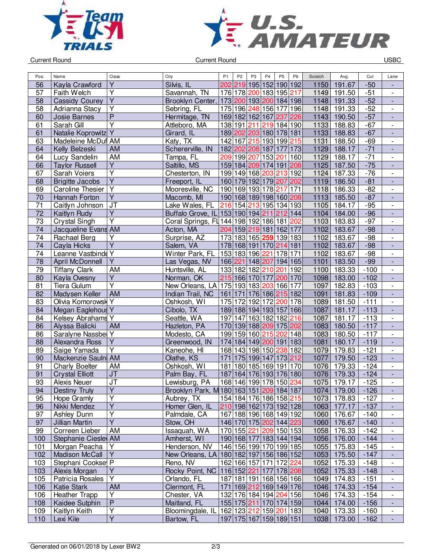



Current Round USBC

| Pos.            | Name                   | Class                   | City                                      | P <sub>1</sub> | P <sub>2</sub> | P <sub>3</sub>  | P <sub>4</sub>          | P <sub>5</sub> | P <sub>6</sub> | Scratch | Avg.        | Cut    | Lane                         |
|-----------------|------------------------|-------------------------|-------------------------------------------|----------------|----------------|-----------------|-------------------------|----------------|----------------|---------|-------------|--------|------------------------------|
| 56              | Kayla Crawford         | Y                       | Silvis, IL                                | 202            | 219            | 195             | 152                     | 190 192        |                | 1150    | 191.67      | $-50$  |                              |
| 57              | Faith Welch            | Υ                       | Savannah, TN                              |                |                |                 | 176 178 200 183         | 195 217        |                | 1149    | 191.50      | $-51$  |                              |
| 58              |                        | $\overline{\mathsf{Y}}$ | Brooklyn Center,                          |                |                |                 | 173 200 193 200 184 198 |                |                | 1148    | 191.33      | $-52$  | $\overline{\phantom{a}}$     |
|                 | <b>Cassidy Courey</b>  | $\overline{Y}$          |                                           |                |                |                 |                         |                |                | 1148    |             |        | $\overline{\phantom{a}}$     |
| 58              | Adrianna Stacy         |                         | Sebring, FL                               |                |                |                 | 175 196 248 156 177 196 |                |                |         | 191.33      | $-52$  | $\overline{\phantom{a}}$     |
| 60              | Josie Barnes           | $\overline{P}$          | Hermitage, TN                             |                |                |                 | 169 182 162 167 237     |                | 226            | 1143    | 190.50      | $-57$  | $\blacksquare$               |
| 61              | Sarah Gill             | Ÿ                       | Attleboro, MA                             |                | 138 191        | 211             | 219 184 190             |                |                | 1133    | 188.83      | $-67$  | $\overline{\phantom{a}}$     |
| 61              | Natalie Koprowitz Y    |                         | Girard, IL                                |                |                |                 | 189 202 203 180 178 181 |                |                | 1133    | 188.83      | $-67$  | $\blacksquare$               |
| 63              | Madeleine McDuf AM     |                         | Katy, TX                                  |                |                |                 | 142 167 215 193 199 215 |                |                | 1131    | 188.50      | $-69$  | $\blacksquare$               |
| 64              | Kelly Belzeski         | AM                      | Schererville, IN                          |                |                |                 | 182 202 208 187 177     |                | 173            | 1129    | 188.17      | $-71$  | $\frac{1}{2}$                |
| 64              | Lucy Sandelin          | <b>AM</b>               | Tampa, FL                                 |                |                | 209 199 207     | 153 201                 |                | 160            | 1129    | 188.17      | $-71$  | $\overline{\phantom{a}}$     |
| 66              | <b>Taylor Russell</b>  | $\overline{Y}$          | Saltillo, MS                              |                |                |                 | 159 184 209 174 191 208 |                |                | 1125    | 187.50      | $-75$  | $\overline{\phantom{a}}$     |
| 67              | Sarah Voiers           | Υ                       | Chesterton, IN                            |                |                |                 | 199 149 168 203 213 192 |                |                | 1124    | 187.33      | $-76$  | $\qquad \qquad \blacksquare$ |
| 68              | <b>Brigitte Jacobs</b> | $\overline{Y}$          | Freeport, IL                              |                |                |                 | 160 179 192 179 207 202 |                |                | 1119    | 186.50      | $-81$  |                              |
| 69              | Caroline Thesier       | $\overline{Y}$          | Mooresville, NC                           |                |                |                 | 190 169 193 178         | 217            | 171            | 1118    | 186.33      | $-82$  | $\overline{\phantom{a}}$     |
| 70              | Hannah Forton          | $\overline{Y}$          | Macomb, MI                                |                |                |                 | 190 168 189 198 160 208 |                |                | 1113    | 185.50      | $-87$  | $\blacksquare$               |
| 71              | Caitlyn Johnson        | <b>JT</b>               | Lake Wales, FL                            |                |                | 216 154 213     | 195 134 193             |                |                | 1105    | 184.17      | $-95$  | $\overline{\phantom{a}}$     |
| 72              | Kaitlyn Rudy           | $\overline{Y}$          | Buffalo Grove, IL 153 190 194 211 212 144 |                |                |                 |                         |                |                | 1104    | 184.00      | $-96$  | $\Box$                       |
| $\overline{73}$ | <b>Crystal Singh</b>   | $\overline{\mathsf{Y}}$ | Coral Springs, FL 144 198 192 186 181 202 |                |                |                 |                         |                |                | 1103    | 183.83      | $-97$  | $\overline{\phantom{a}}$     |
| 74              | Jacqueline Evans AM    |                         | Acton, MA                                 |                |                |                 | 204 159 219 181 162 177 |                |                | 1102    | 183.67      | $-98$  | $\frac{1}{2}$                |
| 74              | Rachael Berg           | Y                       | Surprise, AZ                              |                |                |                 | 173 183 165 259         | 139 183        |                | 1102    | 183.67      | $-98$  | $\overline{\phantom{a}}$     |
| 74              | Cayla Hicks            | $\overline{\mathsf{Y}}$ | Salem, VA                                 |                |                |                 | 178 168 191 170 214 181 |                |                | 1102    | 183.67      | $-98$  | $\overline{\phantom{a}}$     |
| 74              | Leanne Vastbinde Y     |                         | Winter Park, FL                           |                |                |                 | 153 183 196 221         | 178 171        |                | 1102    | 183.67      | $-98$  | $\overline{\phantom{a}}$     |
| 78              | <b>April McDonnell</b> | $\overline{Y}$          | Las Vegas, NV                             |                |                |                 | 166 221 148 207 194 165 |                |                | 1101    | 183.50      | $-99$  |                              |
| 79              |                        | AM                      | Huntsville, AL                            |                |                |                 |                         |                |                |         |             | $-100$ | $\overline{\phantom{a}}$     |
|                 | <b>Tiffany Clark</b>   |                         |                                           |                |                |                 | 133 182 182 210         | 201            | 192            | 1100    | 183.33      |        | $\overline{\phantom{a}}$     |
| 80              | Kayla Ovesny           | $\overline{Y}$          | Norman, OK                                |                |                |                 | 215 166 170 177 200 170 |                |                | 1098    | 183.00      | $-102$ | ÷,                           |
| 81              | <b>Tiera Gulum</b>     | $\overline{\mathsf{Y}}$ | New Orleans, LA 175 193 183 203 166 177   |                |                |                 |                         |                |                | 1097    | 182.83      | $-103$ | $\overline{\phantom{a}}$     |
| 82              | Madysen Keller         | <b>AM</b>               | Indian Trail, NC                          |                |                |                 | 161 171 176 186 215 182 |                |                | 1091    | 181.83      | $-109$ | ÷,                           |
| 83              | Olivia Komorowsk Y     |                         | Oshkosh, WI                               |                |                |                 | 175 172 192 172 200 178 |                |                | 1089    | 181.50      | $-111$ | $\overline{a}$               |
| 84              | Megan Eaglehous Y      |                         | Cibolo, TX                                |                |                |                 | 189 188 194 193 157     |                | 166            | 1087    | 181.17      | $-113$ | ÷,                           |
| 84              | Kelsey Abrahams Y      |                         | Seattle, WA                               | 197            |                |                 | 147 163 182 182 216     |                |                | 1087    | 181.17      | $-113$ | $\overline{\phantom{a}}$     |
| 86              | Alyssa Balicki         | <b>AM</b>               | Hazleton, PA                              |                |                |                 | 170 139 188 209 175 202 |                |                | 1083    | 180.50      | $-117$ | $\overline{\phantom{a}}$     |
| 86              | Saralyne Nassbel Y     |                         | Modesto, CA                               |                |                |                 | 199 159 160 215         | 202            | 148            | 1083    | 180.50      | $-117$ | $\overline{\phantom{a}}$     |
| 88              | Alexandra Ross         | $\overline{Y}$          | Greenwood, IN                             |                |                |                 | 174 184 149 200 191 183 |                |                | 1081    | 180.17      | $-119$ |                              |
| 89              | Saige Yamada           | Y                       | Kaneohe, HI                               |                |                | 168 143 198 150 |                         | 238            | 182            | 1079    | 179.83      | $-121$ | $\overline{\phantom{a}}$     |
| 90              | Mackenzie Saulni AM    |                         | Olathe, KS                                | 171            |                | 175 199 147     |                         | 173 212        |                | 1077    | 179.50      | $-123$ | $\blacksquare$               |
| 91              | <b>Charly Boelter</b>  | AM                      | Oshkosh, WI                               | 181            |                |                 | 180 185 169 191 170     |                |                | 1076    | 179.33      | $-124$ | $\overline{\phantom{a}}$     |
| 91              | <b>Crystal Elliott</b> | $\overline{J}$          | Palm Bay, FL                              |                |                |                 | 187 164 176 193 176 180 |                |                | 1076    | 179.33      | $-124$ | $\blacksquare$               |
| 93              | Alexis Neuer           | J <sub>T</sub>          | Lewisburg, PA                             |                |                |                 | 168 146 199 178 150 234 |                |                | 1075    | 179.17      | $-125$ | $\overline{a}$               |
| 94              | Destiny Truly          | Y                       | Brooklyn Park, M 180 163 151 209 184 187  |                |                |                 |                         |                |                |         | 1074 179.00 | $-126$ |                              |
| 95              | Hope Gramly            | Y                       | Aubrey, TX                                |                |                |                 | 154 184 176 186 158 215 |                |                | 1073    | 178.83      | $-127$ | $\overline{\phantom{a}}$     |
| 96              | Nikki Mendez           | Υ                       | Homer Glen, IL                            |                |                |                 | 210 198 162 173 192 128 |                |                |         | 1063 177.17 | $-137$ | $\overline{\phantom{a}}$     |
| 97              | Ashley Dunn            | Υ                       | Palmdale, CA                              |                |                |                 | 167 188 196 168 149 192 |                |                | 1060    | 176.67      | $-140$ |                              |
| 97              | Jillian Martin         | $\overline{Y}$          | Stow, OH                                  |                |                |                 | 146 170 175 202 144 223 |                |                | 1060    | 176.67      | $-140$ | ٠                            |
| 99              | Correen Lieber         | AM                      | Issaquah, WA                              |                |                |                 | 170 155 221 209 150 153 |                |                | 1058    | 176.33      | $-142$ |                              |
|                 | Stephanie Ciesley AM   |                         | Amherst, WI                               |                |                |                 |                         |                |                |         |             | $-144$ |                              |
| 100             |                        |                         |                                           |                |                |                 | 190 168 177 183 144 194 |                |                | 1056    | 176.00      |        |                              |
| 101             | Morgan Peacha          | Υ                       | Henderson, NV                             |                |                |                 | 146 156 199 170 199 185 |                |                | 1055    | 175.83      | $-145$ | $\overline{\phantom{a}}$     |
| 102             | <b>Madison McCall</b>  | $\overline{Y}$          | New Orleans, LA 180 182 197 156 186 152   |                |                |                 |                         |                |                | 1053    | 175.50      | $-147$ |                              |
| 103             | Stephani Cooksel P     |                         | Reno, NV                                  |                |                |                 | 162 166 157 171 172 224 |                |                | 1052    | 175.33      | $-148$ | $\overline{\phantom{a}}$     |
| 103             | Alexis Morgan          | $\overline{Y}$          | Rocky Point, NC 116 152 221 177 178 208   |                |                |                 |                         |                |                | 1052    | 175.33      | $-148$ | $\overline{\phantom{a}}$     |
| 105             | Patricia Rosales       | Y                       | Orlando, FL                               |                |                |                 | 187 181 191 168 156 166 |                |                | 1049    | 174.83      | $-151$ | $\blacksquare$               |
| 106             | <b>Katie Stark</b>     | <b>AM</b>               | Clermont, FL                              | 171            |                |                 | 169 212 169 149 176     |                |                | 1046    | 174.33      | $-154$ | $\overline{\phantom{a}}$     |
| 106             | <b>Heather Trapp</b>   | Υ                       | Chester, VA                               |                |                |                 | 132 176 184 194 204 156 |                |                | 1046    | 174.33      | $-154$ | $\overline{\phantom{a}}$     |
| 108             | Kaidee Sutphin         | P                       | Maitland, FL                              |                |                |                 | 155 175 211 170 174 159 |                |                | 1044    | 174.00      | $-156$ | $\blacksquare$               |
| 109             | Kaitlyn Keith          | $\overline{Y}$          | Bloomingdale, IL                          |                |                |                 | 162 123 212 159 201 183 |                |                | 1040    | 173.33      | $-160$ | $\overline{\phantom{a}}$     |
| 110             | Lexi Kile              | $\overline{\mathsf{Y}}$ | Bartow, FL                                |                |                |                 | 197 175 167 159 189 151 |                |                | 1038    | 173.00      | $-162$ | $\overline{\phantom{a}}$     |